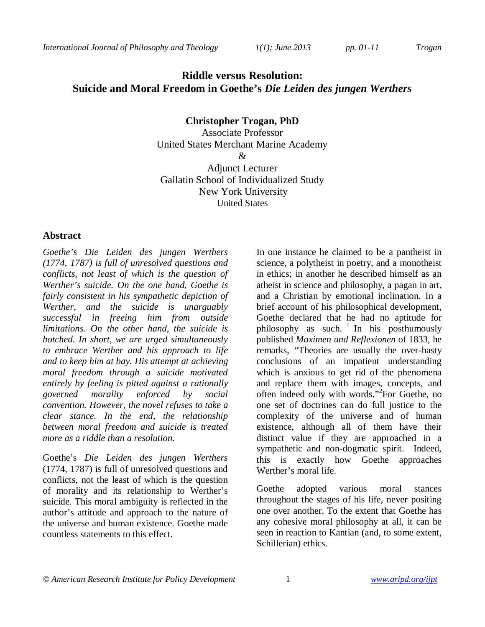*International Journal of Philosophy and Theology 1(1); June 2013 pp. 01-11 Trogan*

# **Riddle versus Resolution: Suicide and Moral Freedom in Goethe's** *Die Leiden des jungen Werthers*

**Christopher Trogan, PhD**  Associate Professor United States Merchant Marine Academy & Adjunct Lecturer Gallatin School of Individualized Study New York University

United States

### **Abstract**

*Goethe's Die Leiden des jungen Werthers (1774, 1787) is full of unresolved questions and conflicts, not least of which is the question of Werther's suicide. On the one hand, Goethe is fairly consistent in his sympathetic depiction of Werther, and the suicide is unarguably successful in freeing him from outside limitations. On the other hand, the suicide is botched. In short, we are urged simultaneously to embrace Werther and his approach to life and to keep him at bay. His attempt at achieving moral freedom through a suicide motivated entirely by feeling is pitted against a rationally governed morality enforced by social convention. However, the novel refuses to take a clear stance. In the end, the relationship between moral freedom and suicide is treated more as a riddle than a resolution.*

Goethe's *Die Leiden des jungen Werthers*  (1774, 1787) is full of unresolved questions and conflicts, not the least of which is the question of morality and its relationship to Werther's suicide. This moral ambiguity is reflected in the author's attitude and approach to the nature of the universe and human existence. Goethe made countless statements to this effect.

In one instance he claimed to be a pantheist in science, a polytheist in poetry, and a monotheist in ethics; in another he described himself as an atheist in science and philosophy, a pagan in art, and a Christian by emotional inclination. In a brief account of his philosophical development, Goethe declared that he had no aptitude for philosophy as such.  $\frac{1}{1}$  In his posthumously published *Maximen und Reflexionen* of 1833, he remarks, "Theories are usually the over-hasty conclusions of an impatient understanding which is anxious to get rid of the phenomena and replace them with images, concepts, and often indeed only with words."<sup>2</sup> For Goethe, no one set of doctrines can do full justice to the complexity of the universe and of human existence, although all of them have their distinct value if they are approached in a sympathetic and non-dogmatic spirit. Indeed, this is exactly how Goethe approaches Werther's moral life.

Goethe adopted various moral stances throughout the stages of his life, never positing one over another. To the extent that Goethe has any cohesive moral philosophy at all, it can be seen in reaction to Kantian (and, to some extent, Schillerian) ethics.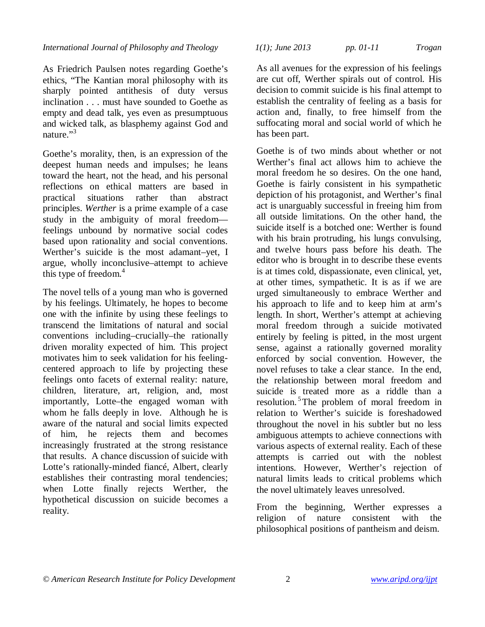As Friedrich Paulsen notes regarding Goethe's ethics, "The Kantian moral philosophy with its sharply pointed antithesis of duty versus inclination . . . must have sounded to Goethe as empty and dead talk, yes even as presumptuous and wicked talk, as blasphemy against God and nature."<sup>3</sup>

Goethe's morality, then, is an expression of the deepest human needs and impulses; he leans toward the heart, not the head, and his personal reflections on ethical matters are based in practical situations rather than abstract principles. *Werther* is a prime example of a case study in the ambiguity of moral freedom feelings unbound by normative social codes based upon rationality and social conventions. Werther's suicide is the most adamant–yet, I argue, wholly inconclusive–attempt to achieve this type of freedom.<sup>4</sup>

The novel tells of a young man who is governed by his feelings. Ultimately, he hopes to become one with the infinite by using these feelings to transcend the limitations of natural and social conventions including–crucially–the rationally driven morality expected of him. This project motivates him to seek validation for his feelingcentered approach to life by projecting these feelings onto facets of external reality: nature, children, literature, art, religion, and, most importantly, Lotte–the engaged woman with whom he falls deeply in love. Although he is aware of the natural and social limits expected of him, he rejects them and becomes increasingly frustrated at the strong resistance that results. A chance discussion of suicide with Lotte's rationally-minded fiancé, Albert, clearly establishes their contrasting moral tendencies; when Lotte finally rejects Werther, the hypothetical discussion on suicide becomes a reality.

| $1(1)$ ; June 2013 | pp. 01-11 | <b>Trogan</b> |
|--------------------|-----------|---------------|
|                    |           |               |

As all avenues for the expression of his feelings are cut off, Werther spirals out of control. His decision to commit suicide is his final attempt to establish the centrality of feeling as a basis for action and, finally, to free himself from the suffocating moral and social world of which he has been part.

Goethe is of two minds about whether or not Werther's final act allows him to achieve the moral freedom he so desires. On the one hand, Goethe is fairly consistent in his sympathetic depiction of his protagonist, and Werther's final act is unarguably successful in freeing him from all outside limitations. On the other hand, the suicide itself is a botched one: Werther is found with his brain protruding, his lungs convulsing, and twelve hours pass before his death. The editor who is brought in to describe these events is at times cold, dispassionate, even clinical, yet, at other times, sympathetic. It is as if we are urged simultaneously to embrace Werther and his approach to life and to keep him at arm's length. In short, Werther's attempt at achieving moral freedom through a suicide motivated entirely by feeling is pitted, in the most urgent sense, against a rationally governed morality enforced by social convention. However, the novel refuses to take a clear stance. In the end, the relationship between moral freedom and suicide is treated more as a riddle than a resolution.<sup>5</sup>The problem of moral freedom in relation to Werther's suicide is foreshadowed throughout the novel in his subtler but no less ambiguous attempts to achieve connections with various aspects of external reality. Each of these attempts is carried out with the noblest intentions. However, Werther's rejection of natural limits leads to critical problems which the novel ultimately leaves unresolved.

From the beginning, Werther expresses a religion of nature consistent with the philosophical positions of pantheism and deism.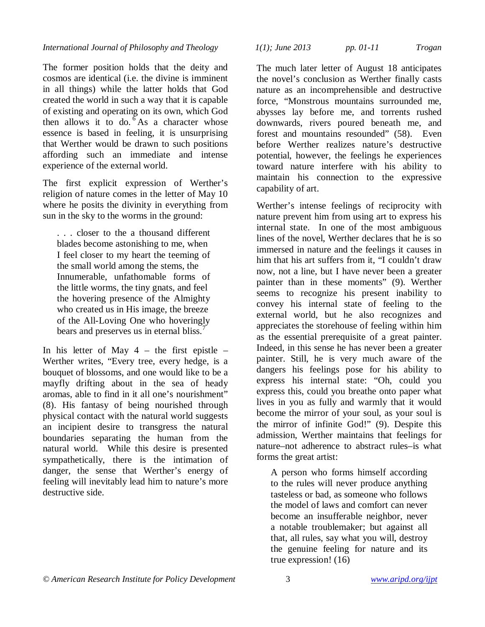The former position holds that the deity and cosmos are identical (i.e. the divine is imminent in all things) while the latter holds that God created the world in such a way that it is capable of existing and operating on its own, which God then allows it to do.  $6$ As a character whose essence is based in feeling, it is unsurprising that Werther would be drawn to such positions affording such an immediate and intense experience of the external world.

The first explicit expression of Werther's religion of nature comes in the letter of May 10 where he posits the divinity in everything from sun in the sky to the worms in the ground:

. . . closer to the a thousand different blades become astonishing to me, when I feel closer to my heart the teeming of the small world among the stems, the Innumerable, unfathomable forms of the little worms, the tiny gnats, and feel the hovering presence of the Almighty who created us in His image, the breeze of the All-Loving One who hoveringly bears and preserves us in eternal bliss.<sup>7</sup>

In his letter of May  $4$  – the first epistle – Werther writes, "Every tree, every hedge, is a bouquet of blossoms, and one would like to be a mayfly drifting about in the sea of heady aromas, able to find in it all one's nourishment" (8). His fantasy of being nourished through physical contact with the natural world suggests an incipient desire to transgress the natural boundaries separating the human from the natural world. While this desire is presented sympathetically, there is the intimation of danger, the sense that Werther's energy of feeling will inevitably lead him to nature's more destructive side.

*International Journal of Philosophy and Theology 1(1); June 2013 pp. 01-11 Trogan*

The much later letter of August 18 anticipates the novel's conclusion as Werther finally casts nature as an incomprehensible and destructive force, "Monstrous mountains surrounded me, abysses lay before me, and torrents rushed downwards, rivers poured beneath me, and forest and mountains resounded" (58). Even before Werther realizes nature's destructive potential, however, the feelings he experiences toward nature interfere with his ability to maintain his connection to the expressive capability of art.

Werther's intense feelings of reciprocity with nature prevent him from using art to express his internal state. In one of the most ambiguous lines of the novel, Werther declares that he is so immersed in nature and the feelings it causes in him that his art suffers from it, "I couldn't draw now, not a line, but I have never been a greater painter than in these moments" (9). Werther seems to recognize his present inability to convey his internal state of feeling to the external world, but he also recognizes and appreciates the storehouse of feeling within him as the essential prerequisite of a great painter. Indeed, in this sense he has never been a greater painter. Still, he is very much aware of the dangers his feelings pose for his ability to express his internal state: "Oh, could you express this, could you breathe onto paper what lives in you as fully and warmly that it would become the mirror of your soul, as your soul is the mirror of infinite God!" (9). Despite this admission, Werther maintains that feelings for nature–not adherence to abstract rules–is what forms the great artist:

A person who forms himself according to the rules will never produce anything tasteless or bad, as someone who follows the model of laws and comfort can never become an insufferable neighbor, never a notable troublemaker; but against all that, all rules, say what you will, destroy the genuine feeling for nature and its true expression! (16)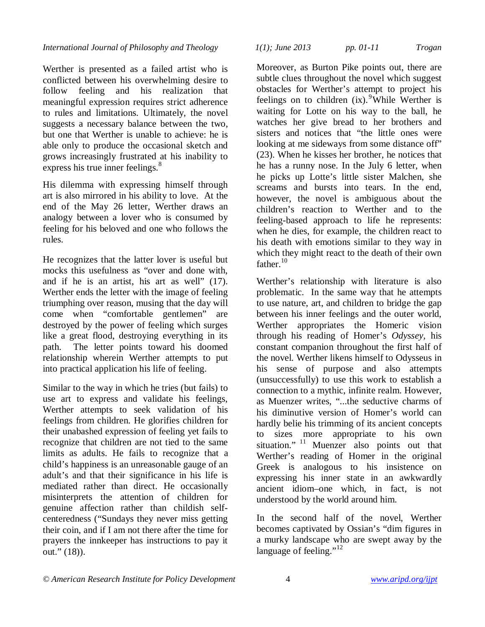Werther is presented as a failed artist who is conflicted between his overwhelming desire to follow feeling and his realization that meaningful expression requires strict adherence to rules and limitations. Ultimately, the novel suggests a necessary balance between the two, but one that Werther is unable to achieve: he is able only to produce the occasional sketch and grows increasingly frustrated at his inability to express his true inner feelings.<sup>8</sup>

His dilemma with expressing himself through art is also mirrored in his ability to love. At the end of the May 26 letter, Werther draws an analogy between a lover who is consumed by feeling for his beloved and one who follows the rules.

He recognizes that the latter lover is useful but mocks this usefulness as "over and done with, and if he is an artist, his art as well" (17). Werther ends the letter with the image of feeling triumphing over reason, musing that the day will come when "comfortable gentlemen" are destroyed by the power of feeling which surges like a great flood, destroying everything in its path. The letter points toward his doomed relationship wherein Werther attempts to put into practical application his life of feeling.

Similar to the way in which he tries (but fails) to use art to express and validate his feelings, Werther attempts to seek validation of his feelings from children. He glorifies children for their unabashed expression of feeling yet fails to recognize that children are not tied to the same limits as adults. He fails to recognize that a child's happiness is an unreasonable gauge of an adult's and that their significance in his life is mediated rather than direct. He occasionally misinterprets the attention of children for genuine affection rather than childish selfcenteredness ("Sundays they never miss getting their coin, and if I am not there after the time for prayers the innkeeper has instructions to pay it out." (18)).

*International Journal of Philosophy and Theology 1(1); June 2013 pp. 01-11 Trogan*

Moreover, as Burton Pike points out, there are subtle clues throughout the novel which suggest obstacles for Werther's attempt to project his feelings on to children  $(ix)$ . <sup>9</sup>While Werther is waiting for Lotte on his way to the ball, he watches her give bread to her brothers and sisters and notices that "the little ones were looking at me sideways from some distance off" (23). When he kisses her brother, he notices that he has a runny nose. In the July 6 letter, when he picks up Lotte's little sister Malchen, she screams and bursts into tears. In the end, however, the novel is ambiguous about the children's reaction to Werther and to the feeling-based approach to life he represents: when he dies, for example, the children react to his death with emotions similar to they way in which they might react to the death of their own father.<sup>10</sup>

Werther's relationship with literature is also problematic. In the same way that he attempts to use nature, art, and children to bridge the gap between his inner feelings and the outer world, Werther appropriates the Homeric vision through his reading of Homer's *Odyssey,* his constant companion throughout the first half of the novel. Werther likens himself to Odysseus in his sense of purpose and also attempts (unsuccessfully) to use this work to establish a connection to a mythic, infinite realm. However, as Muenzer writes, "...the seductive charms of his diminutive version of Homer's world can hardly belie his trimming of its ancient concepts to sizes more appropriate to his own situation."<sup>11</sup> Muenzer also points out that Werther's reading of Homer in the original Greek is analogous to his insistence on expressing his inner state in an awkwardly ancient idiom–one which, in fact, is not understood by the world around him.

In the second half of the novel, Werther becomes captivated by Ossian's "dim figures in a murky landscape who are swept away by the language of feeling."<sup>12</sup>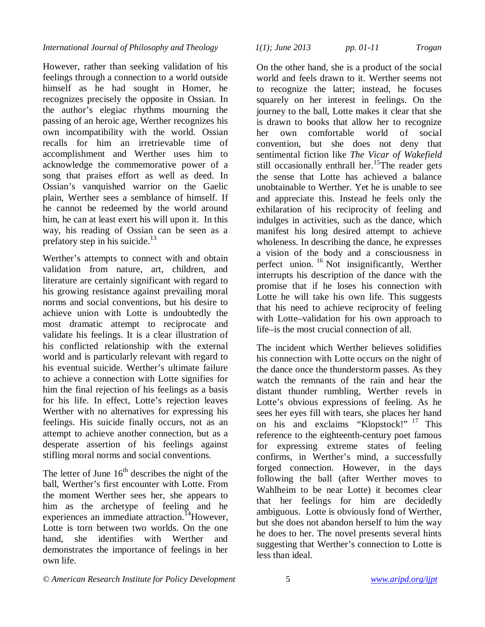However, rather than seeking validation of his feelings through a connection to a world outside himself as he had sought in Homer, he recognizes precisely the opposite in Ossian. In the author's elegiac rhythms mourning the passing of an heroic age, Werther recognizes his own incompatibility with the world. Ossian recalls for him an irretrievable time of accomplishment and Werther uses him to acknowledge the commemorative power of a song that praises effort as well as deed. In Ossian's vanquished warrior on the Gaelic plain, Werther sees a semblance of himself. If he cannot be redeemed by the world around him, he can at least exert his will upon it. In this way, his reading of Ossian can be seen as a prefatory step in his suicide. $13$ 

Werther's attempts to connect with and obtain validation from nature, art, children, and literature are certainly significant with regard to his growing resistance against prevailing moral norms and social conventions, but his desire to achieve union with Lotte is undoubtedly the most dramatic attempt to reciprocate and validate his feelings. It is a clear illustration of his conflicted relationship with the external world and is particularly relevant with regard to his eventual suicide. Werther's ultimate failure to achieve a connection with Lotte signifies for him the final rejection of his feelings as a basis for his life. In effect, Lotte's rejection leaves Werther with no alternatives for expressing his feelings. His suicide finally occurs, not as an attempt to achieve another connection, but as a desperate assertion of his feelings against stifling moral norms and social conventions.

The letter of June  $16<sup>th</sup>$  describes the night of the ball, Werther's first encounter with Lotte. From the moment Werther sees her, she appears to him as the archetype of feeling and he experiences an immediate attraction.<sup>14</sup>However, Lotte is torn between two worlds. On the one hand, she identifies with Werther and demonstrates the importance of feelings in her own life.

## *International Journal of Philosophy and Theology 1(1); June 2013 pp. 01-11 Trogan*

On the other hand, she is a product of the social world and feels drawn to it. Werther seems not to recognize the latter; instead, he focuses squarely on her interest in feelings. On the journey to the ball, Lotte makes it clear that she is drawn to books that allow her to recognize her own comfortable world of social convention, but she does not deny that sentimental fiction like *The Vicar of Wakefield* still occasionally enthrall her.<sup>15</sup>The reader gets the sense that Lotte has achieved a balance unobtainable to Werther. Yet he is unable to see and appreciate this. Instead he feels only the exhilaration of his reciprocity of feeling and indulges in activities, such as the dance, which manifest his long desired attempt to achieve wholeness. In describing the dance, he expresses a vision of the body and a consciousness in perfect union. <sup>16</sup> Not insignificantly, Werther interrupts his description of the dance with the promise that if he loses his connection with Lotte he will take his own life. This suggests that his need to achieve reciprocity of feeling with Lotte–validation for his own approach to life–is the most crucial connection of all.

The incident which Werther believes solidifies his connection with Lotte occurs on the night of the dance once the thunderstorm passes. As they watch the remnants of the rain and hear the distant thunder rumbling, Werther revels in Lotte's obvious expressions of feeling. As he sees her eyes fill with tears, she places her hand on his and exclaims "Klopstock!" <sup>17</sup> This reference to the eighteenth-century poet famous for expressing extreme states of feeling confirms, in Werther's mind, a successfully forged connection. However, in the days following the ball (after Werther moves to Wahlheim to be near Lotte) it becomes clear that her feelings for him are decidedly ambiguous. Lotte is obviously fond of Werther, but she does not abandon herself to him the way he does to her. The novel presents several hints suggesting that Werther's connection to Lotte is less than ideal.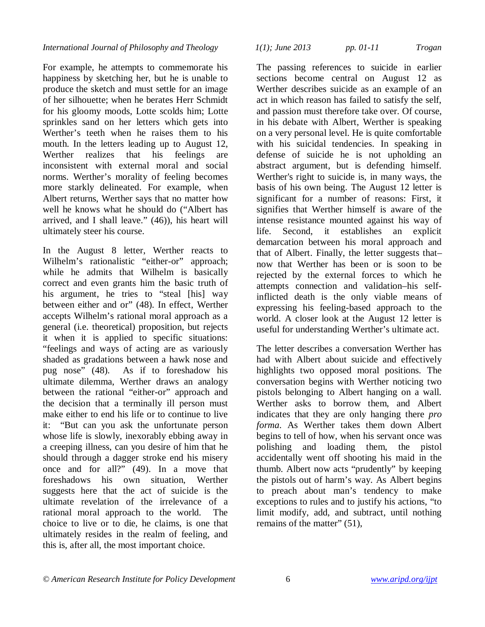For example, he attempts to commemorate his happiness by sketching her, but he is unable to produce the sketch and must settle for an image of her silhouette; when he berates Herr Schmidt for his gloomy moods, Lotte scolds him; Lotte sprinkles sand on her letters which gets into Werther's teeth when he raises them to his mouth. In the letters leading up to August 12, Werther realizes that his feelings are inconsistent with external moral and social norms. Werther's morality of feeling becomes more starkly delineated. For example, when Albert returns, Werther says that no matter how well he knows what he should do ("Albert has arrived, and I shall leave." (46)), his heart will ultimately steer his course.

In the August 8 letter, Werther reacts to Wilhelm's rationalistic "either-or" approach; while he admits that Wilhelm is basically correct and even grants him the basic truth of his argument, he tries to "steal [his] way between either and or" (48). In effect, Werther accepts Wilhelm's rational moral approach as a general (i.e. theoretical) proposition, but rejects it when it is applied to specific situations: "feelings and ways of acting are as variously shaded as gradations between a hawk nose and pug nose" (48). As if to foreshadow his ultimate dilemma, Werther draws an analogy between the rational "either-or" approach and the decision that a terminally ill person must make either to end his life or to continue to live it: "But can you ask the unfortunate person whose life is slowly, inexorably ebbing away in a creeping illness, can you desire of him that he should through a dagger stroke end his misery once and for all?" (49). In a move that foreshadows his own situation, Werther suggests here that the act of suicide is the ultimate revelation of the irrelevance of a rational moral approach to the world. The choice to live or to die, he claims, is one that ultimately resides in the realm of feeling, and this is, after all, the most important choice.

The passing references to suicide in earlier sections become central on August 12 as Werther describes suicide as an example of an act in which reason has failed to satisfy the self, and passion must therefore take over. Of course, in his debate with Albert, Werther is speaking on a very personal level. He is quite comfortable with his suicidal tendencies. In speaking in defense of suicide he is not upholding an abstract argument, but is defending himself. Werther's right to suicide is, in many ways, the basis of his own being. The August 12 letter is significant for a number of reasons: First, it signifies that Werther himself is aware of the intense resistance mounted against his way of life. Second, it establishes an explicit demarcation between his moral approach and that of Albert. Finally, the letter suggests that– now that Werther has been or is soon to be rejected by the external forces to which he attempts connection and validation–his selfinflicted death is the only viable means of expressing his feeling-based approach to the world. A closer look at the August 12 letter is useful for understanding Werther's ultimate act.

The letter describes a conversation Werther has had with Albert about suicide and effectively highlights two opposed moral positions. The conversation begins with Werther noticing two pistols belonging to Albert hanging on a wall. Werther asks to borrow them, and Albert indicates that they are only hanging there *pro forma*. As Werther takes them down Albert begins to tell of how, when his servant once was polishing and loading them, the pistol accidentally went off shooting his maid in the thumb. Albert now acts "prudently" by keeping the pistols out of harm's way. As Albert begins to preach about man's tendency to make exceptions to rules and to justify his actions, "to limit modify, add, and subtract, until nothing remains of the matter" (51),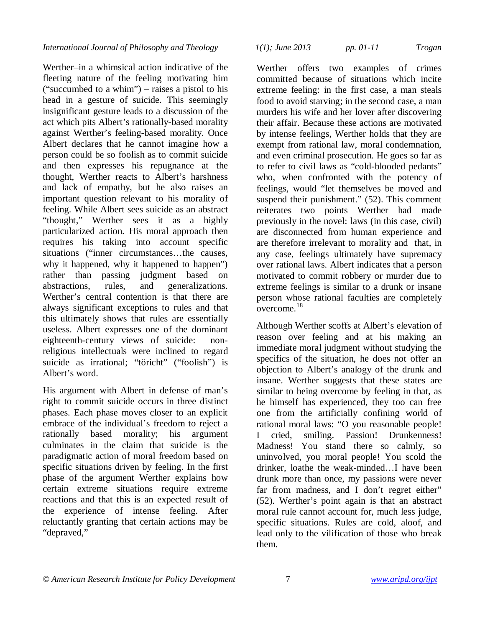Werther–in a whimsical action indicative of the fleeting nature of the feeling motivating him ("succumbed to a whim") – raises a pistol to his head in a gesture of suicide. This seemingly insignificant gesture leads to a discussion of the act which pits Albert's rationally-based morality against Werther's feeling-based morality. Once Albert declares that he cannot imagine how a person could be so foolish as to commit suicide and then expresses his repugnance at the thought, Werther reacts to Albert's harshness and lack of empathy, but he also raises an important question relevant to his morality of feeling. While Albert sees suicide as an abstract "thought," Werther sees it as a highly particularized action. His moral approach then requires his taking into account specific situations ("inner circumstances…the causes, why it happened, why it happened to happen") rather than passing judgment based on abstractions, rules, and generalizations. Werther's central contention is that there are always significant exceptions to rules and that this ultimately shows that rules are essentially useless. Albert expresses one of the dominant eighteenth-century views of suicide: nonreligious intellectuals were inclined to regard suicide as irrational; "töricht" ("foolish") is Albert's word.

His argument with Albert in defense of man's right to commit suicide occurs in three distinct phases. Each phase moves closer to an explicit embrace of the individual's freedom to reject a rationally based morality; his argument culminates in the claim that suicide is the paradigmatic action of moral freedom based on specific situations driven by feeling. In the first phase of the argument Werther explains how certain extreme situations require extreme reactions and that this is an expected result of the experience of intense feeling. After reluctantly granting that certain actions may be "depraved,"

### *International Journal of Philosophy and Theology 1(1); June 2013 pp. 01-11 Trogan*

Werther offers two examples of crimes committed because of situations which incite extreme feeling: in the first case, a man steals food to avoid starving; in the second case, a man murders his wife and her lover after discovering their affair. Because these actions are motivated by intense feelings, Werther holds that they are exempt from rational law, moral condemnation, and even criminal prosecution. He goes so far as to refer to civil laws as "cold-blooded pedants" who, when confronted with the potency of feelings, would "let themselves be moved and suspend their punishment." (52). This comment reiterates two points Werther had made previously in the novel: laws (in this case, civil) are disconnected from human experience and are therefore irrelevant to morality and that, in any case, feelings ultimately have supremacy over rational laws. Albert indicates that a person motivated to commit robbery or murder due to extreme feelings is similar to a drunk or insane person whose rational faculties are completely overcome.<sup>18</sup>

Although Werther scoffs at Albert's elevation of reason over feeling and at his making an immediate moral judgment without studying the specifics of the situation, he does not offer an objection to Albert's analogy of the drunk and insane. Werther suggests that these states are similar to being overcome by feeling in that, as he himself has experienced, they too can free one from the artificially confining world of rational moral laws: "O you reasonable people! I cried, smiling. Passion! Drunkenness! Madness! You stand there so calmly, so uninvolved, you moral people! You scold the drinker, loathe the weak-minded…I have been drunk more than once, my passions were never far from madness, and I don't regret either" (52). Werther's point again is that an abstract moral rule cannot account for, much less judge, specific situations. Rules are cold, aloof, and lead only to the vilification of those who break them.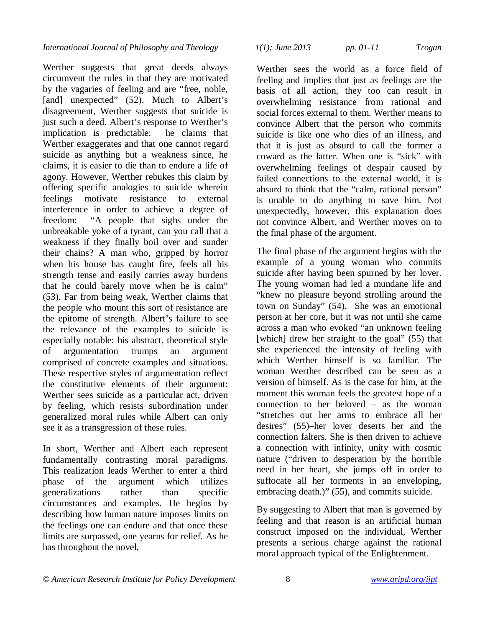Werther suggests that great deeds always circumvent the rules in that they are motivated by the vagaries of feeling and are "free, noble, [and] unexpected" (52). Much to Albert's disagreement, Werther suggests that suicide is just such a deed. Albert's response to Werther's implication is predictable: he claims that Werther exaggerates and that one cannot regard suicide as anything but a weakness since, he claims, it is easier to die than to endure a life of agony. However, Werther rebukes this claim by offering specific analogies to suicide wherein feelings motivate resistance to external interference in order to achieve a degree of freedom: "A people that sighs under the unbreakable yoke of a tyrant, can you call that a weakness if they finally boil over and sunder their chains? A man who, gripped by horror when his house has caught fire, feels all his strength tense and easily carries away burdens that he could barely move when he is calm" (53). Far from being weak, Werther claims that the people who mount this sort of resistance are the epitome of strength. Albert's failure to see the relevance of the examples to suicide is especially notable: his abstract, theoretical style of argumentation trumps an argument comprised of concrete examples and situations. These respective styles of argumentation reflect the constitutive elements of their argument: Werther sees suicide as a particular act, driven by feeling, which resists subordination under generalized moral rules while Albert can only see it as a transgression of these rules.

In short, Werther and Albert each represent fundamentally contrasting moral paradigms. This realization leads Werther to enter a third phase of the argument which utilizes generalizations rather than specific circumstances and examples. He begins by describing how human nature imposes limits on the feelings one can endure and that once these limits are surpassed, one yearns for relief. As he has throughout the novel,

Werther sees the world as a force field of feeling and implies that just as feelings are the basis of all action, they too can result in overwhelming resistance from rational and social forces external to them. Werther means to convince Albert that the person who commits suicide is like one who dies of an illness, and that it is just as absurd to call the former a coward as the latter. When one is "sick" with overwhelming feelings of despair caused by failed connections to the external world, it is absurd to think that the "calm, rational person" is unable to do anything to save him. Not unexpectedly, however, this explanation does not convince Albert, and Werther moves on to the final phase of the argument.

The final phase of the argument begins with the example of a young woman who commits suicide after having been spurned by her lover. The young woman had led a mundane life and "knew no pleasure beyond strolling around the town on Sunday" (54). She was an emotional person at her core, but it was not until she came across a man who evoked "an unknown feeling [which] drew her straight to the goal" (55) that she experienced the intensity of feeling with which Werther himself is so familiar. The woman Werther described can be seen as a version of himself. As is the case for him, at the moment this woman feels the greatest hope of a connection to her beloved – as the woman "stretches out her arms to embrace all her desires" (55)–her lover deserts her and the connection falters. She is then driven to achieve a connection with infinity, unity with cosmic nature ("driven to desperation by the horrible need in her heart, she jumps off in order to suffocate all her torments in an enveloping, embracing death.)" (55), and commits suicide.

By suggesting to Albert that man is governed by feeling and that reason is an artificial human construct imposed on the individual, Werther presents a serious charge against the rational moral approach typical of the Enlightenment.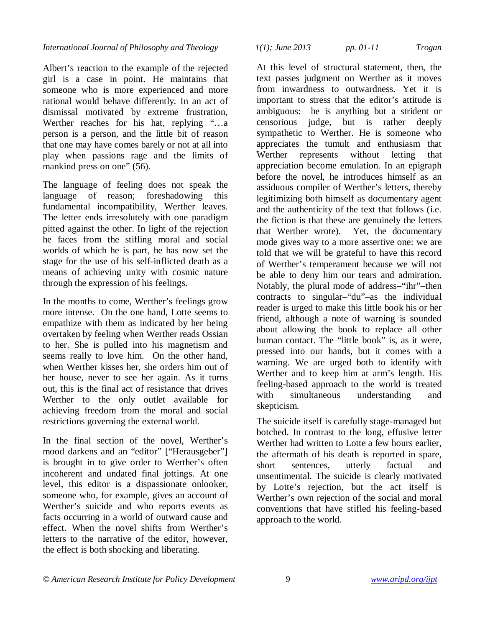Albert's reaction to the example of the rejected girl is a case in point. He maintains that someone who is more experienced and more rational would behave differently. In an act of dismissal motivated by extreme frustration, Werther reaches for his hat, replying "…a person is a person, and the little bit of reason that one may have comes barely or not at all into play when passions rage and the limits of mankind press on one" (56).

The language of feeling does not speak the language of reason; foreshadowing this fundamental incompatibility, Werther leaves. The letter ends irresolutely with one paradigm pitted against the other. In light of the rejection he faces from the stifling moral and social worlds of which he is part, he has now set the stage for the use of his self-inflicted death as a means of achieving unity with cosmic nature through the expression of his feelings.

In the months to come, Werther's feelings grow more intense. On the one hand, Lotte seems to empathize with them as indicated by her being overtaken by feeling when Werther reads Ossian to her. She is pulled into his magnetism and seems really to love him. On the other hand, when Werther kisses her, she orders him out of her house, never to see her again. As it turns out, this is the final act of resistance that drives Werther to the only outlet available for achieving freedom from the moral and social restrictions governing the external world.

In the final section of the novel, Werther's mood darkens and an "editor" ["Herausgeber"] is brought in to give order to Werther's often incoherent and undated final jottings. At one level, this editor is a dispassionate onlooker, someone who, for example, gives an account of Werther's suicide and who reports events as facts occurring in a world of outward cause and effect. When the novel shifts from Werther's letters to the narrative of the editor, however, the effect is both shocking and liberating.

*International Journal of Philosophy and Theology 1(1); June 2013 pp. 01-11 Trogan*

At this level of structural statement, then, the text passes judgment on Werther as it moves from inwardness to outwardness. Yet it is important to stress that the editor's attitude is ambiguous: he is anything but a strident or censorious judge, but is rather deeply sympathetic to Werther. He is someone who appreciates the tumult and enthusiasm that Werther represents without letting that appreciation become emulation. In an epigraph before the novel, he introduces himself as an assiduous compiler of Werther's letters, thereby legitimizing both himself as documentary agent and the authenticity of the text that follows (i.e. the fiction is that these are genuinely the letters that Werther wrote). Yet, the documentary mode gives way to a more assertive one: we are told that we will be grateful to have this record of Werther's temperament because we will not be able to deny him our tears and admiration. Notably, the plural mode of address–"ihr"–then contracts to singular–"du"–as the individual reader is urged to make this little book his or her friend, although a note of warning is sounded about allowing the book to replace all other human contact. The "little book" is, as it were, pressed into our hands, but it comes with a warning. We are urged both to identify with Werther and to keep him at arm's length. His feeling-based approach to the world is treated with simultaneous understanding and skepticism.

The suicide itself is carefully stage-managed but botched. In contrast to the long, effusive letter Werther had written to Lotte a few hours earlier, the aftermath of his death is reported in spare, short sentences, utterly factual and unsentimental. The suicide is clearly motivated by Lotte's rejection, but the act itself is Werther's own rejection of the social and moral conventions that have stifled his feeling-based approach to the world.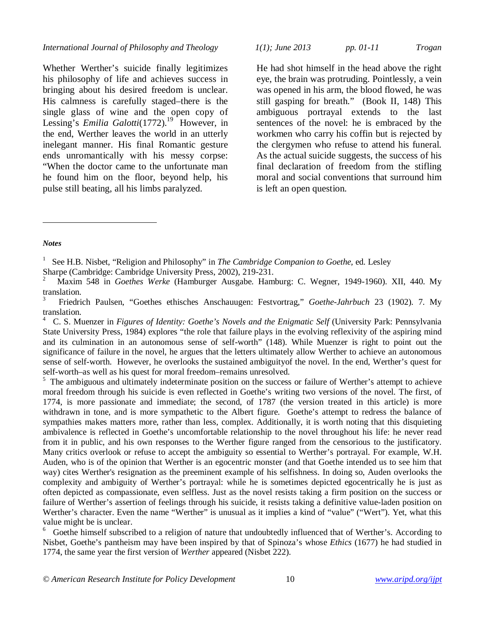Whether Werther's suicide finally legitimizes his philosophy of life and achieves success in bringing about his desired freedom is unclear. His calmness is carefully staged–there is the single glass of wine and the open copy of Lessing's *Emilia Galotti*(1772).<sup>19</sup> However, in the end, Werther leaves the world in an utterly inelegant manner. His final Romantic gesture ends unromantically with his messy corpse: "When the doctor came to the unfortunate man he found him on the floor, beyond help, his pulse still beating, all his limbs paralyzed.

*International Journal of Philosophy and Theology 1(1); June 2013 pp. 01-11 Trogan*

He had shot himself in the head above the right eye, the brain was protruding. Pointlessly, a vein was opened in his arm, the blood flowed, he was still gasping for breath." (Book II, 148) This ambiguous portrayal extends to the last sentences of the novel: he is embraced by the workmen who carry his coffin but is rejected by the clergymen who refuse to attend his funeral. As the actual suicide suggests, the success of his final declaration of freedom from the stifling moral and social conventions that surround him is left an open question.

### *Notes*

 $\overline{a}$ 

1 See H.B. Nisbet, "Religion and Philosophy" in *The Cambridge Companion to Goethe,* ed. Lesley

Sharpe (Cambridge: Cambridge University Press, 2002), 219-231.

2 Maxim 548 in *Goethes Werke* (Hamburger Ausgabe. Hamburg: C. Wegner, 1949-1960). XII, 440. My translation.

3 Friedrich Paulsen, "Goethes ethisches Anschauugen: Festvortrag," *Goethe-Jahrbuch* 23 (1902). 7. My translation.

4 C. S. Muenzer in *Figures of Identity: Goethe's Novels and the Enigmatic Self* (University Park: Pennsylvania State University Press, 1984) explores "the role that failure plays in the evolving reflexivity of the aspiring mind and its culmination in an autonomous sense of self-worth" (148). While Muenzer is right to point out the significance of failure in the novel, he argues that the letters ultimately allow Werther to achieve an autonomous sense of self-worth. However, he overlooks the sustained ambiguityof the novel. In the end, Werther's quest for self-worth–as well as his quest for moral freedom–remains unresolved.

<sup>5</sup> The ambiguous and ultimately indeterminate position on the success or failure of Werther's attempt to achieve moral freedom through his suicide is even reflected in Goethe's writing two versions of the novel. The first, of 1774, is more passionate and immediate; the second, of 1787 (the version treated in this article) is more withdrawn in tone, and is more sympathetic to the Albert figure. Goethe's attempt to redress the balance of sympathies makes matters more, rather than less, complex. Additionally, it is worth noting that this disquieting ambivalence is reflected in Goethe's uncomfortable relationship to the novel throughout his life: he never read from it in public, and his own responses to the Werther figure ranged from the censorious to the justificatory. Many critics overlook or refuse to accept the ambiguity so essential to Werther's portrayal. For example, W.H. Auden, who is of the opinion that Werther is an egocentric monster (and that Goethe intended us to see him that way) cites Werther's resignation as the preeminent example of his selfishness. In doing so, Auden overlooks the complexity and ambiguity of Werther's portrayal: while he is sometimes depicted egocentrically he is just as often depicted as compassionate, even selfless. Just as the novel resists taking a firm position on the success or failure of Werther's assertion of feelings through his suicide, it resists taking a definitive value-laden position on Werther's character. Even the name "Werther" is unusual as it implies a kind of "value" ("Wert"). Yet, what this value might be is unclear.

6 Goethe himself subscribed to a religion of nature that undoubtedly influenced that of Werther's. According to Nisbet, Goethe's pantheism may have been inspired by that of Spinoza's whose *Ethics* (1677) he had studied in 1774, the same year the first version of *Werther* appeared (Nisbet 222).